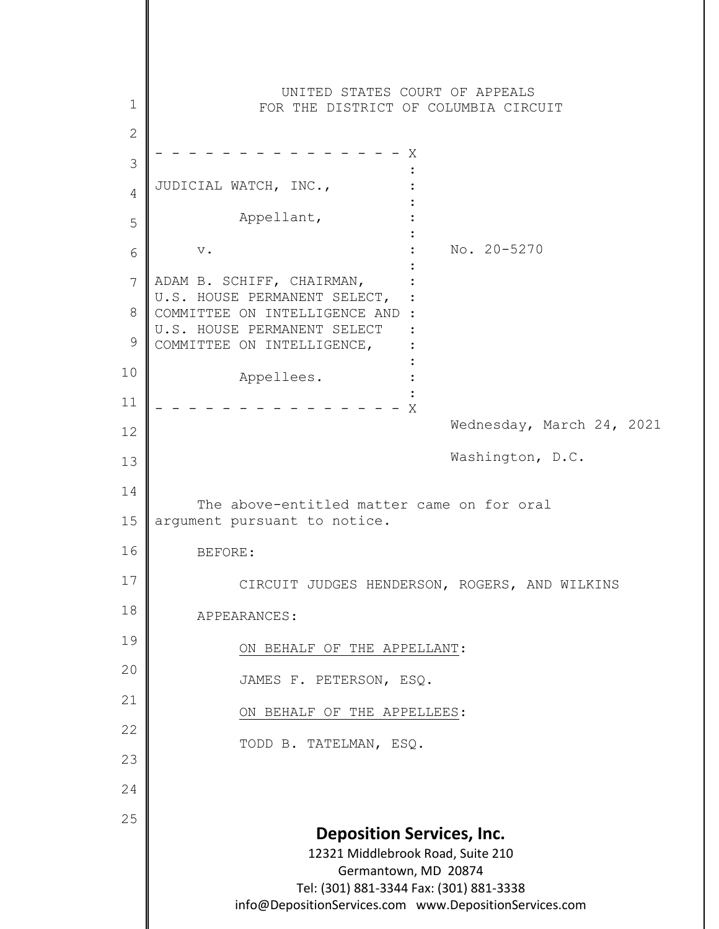**Deposition Services, Inc.** 12321 Middlebrook Road, Suite 210 Germantown, MD 20874 Tel: (301) 881-3344 Fax: (301) 881-3338 info@DepositionServices.com www.DepositionServices.com 1 2 3 4 5 6 7 8 9 10 11 12 13 14 15 16 17 18 19 20 21 22 23 24 25 UNITED STATES COURT OF APPEALS FOR THE DISTRICT OF COLUMBIA CIRCUIT - - - - - - - - - - - - - - - X **Example 2008** Contract Contract Contract 2008 JUDICIAL WATCH, INC., : Appellant, : : v.  $\qquad \qquad \bullet$  : No. 20-5270 : ADAM B. SCHIFF, CHAIRMAN, : U.S. HOUSE PERMANENT SELECT, : COMMITTEE ON INTELLIGENCE AND : U.S. HOUSE PERMANENT SELECT : COMMITTEE ON INTELLIGENCE, : : Appellees. **Example 2008 Contract Contract Contract 2008**  $- - - - - - - X$ Wednesday, March 24, 2021 Washington, D.C. The above-entitled matter came on for oral argument pursuant to notice. BEFORE: CIRCUIT JUDGES HENDERSON, ROGERS, AND WILKINS APPEARANCES: ON BEHALF OF THE APPELLANT: JAMES F. PETERSON, ESQ. ON BEHALF OF THE APPELLEES: TODD B. TATELMAN, ESQ.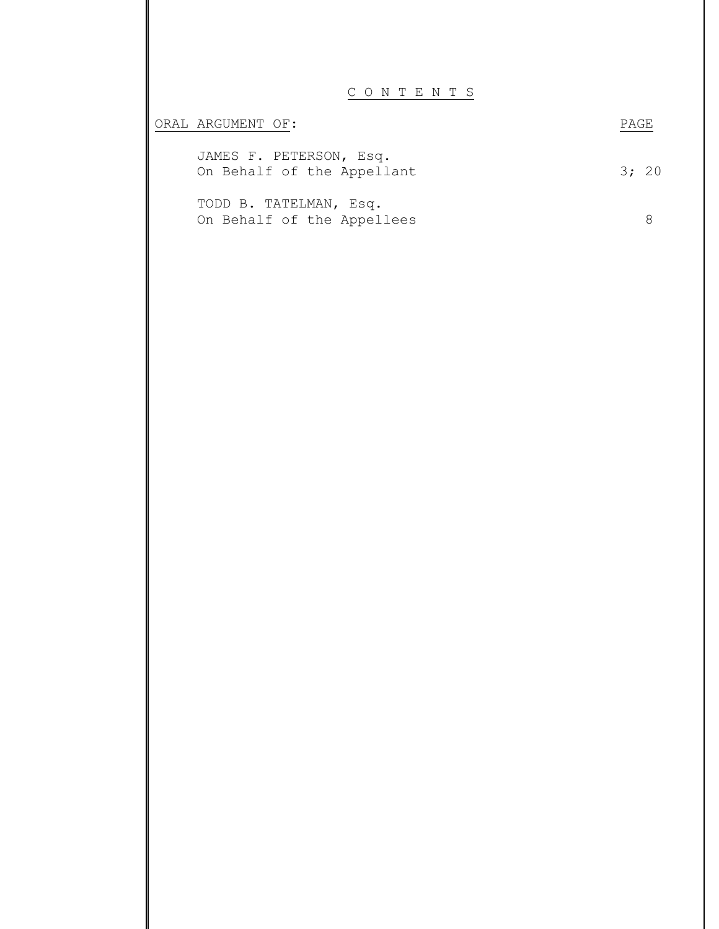C O N T E N T S

| ORAL ARGUMENT OF:                                     | <b>PAGE</b> |  |
|-------------------------------------------------------|-------------|--|
| JAMES F. PETERSON, Esq.<br>On Behalf of the Appellant | 3: 20       |  |
| TODD B. TATELMAN, Esq.<br>On Behalf of the Appellees  |             |  |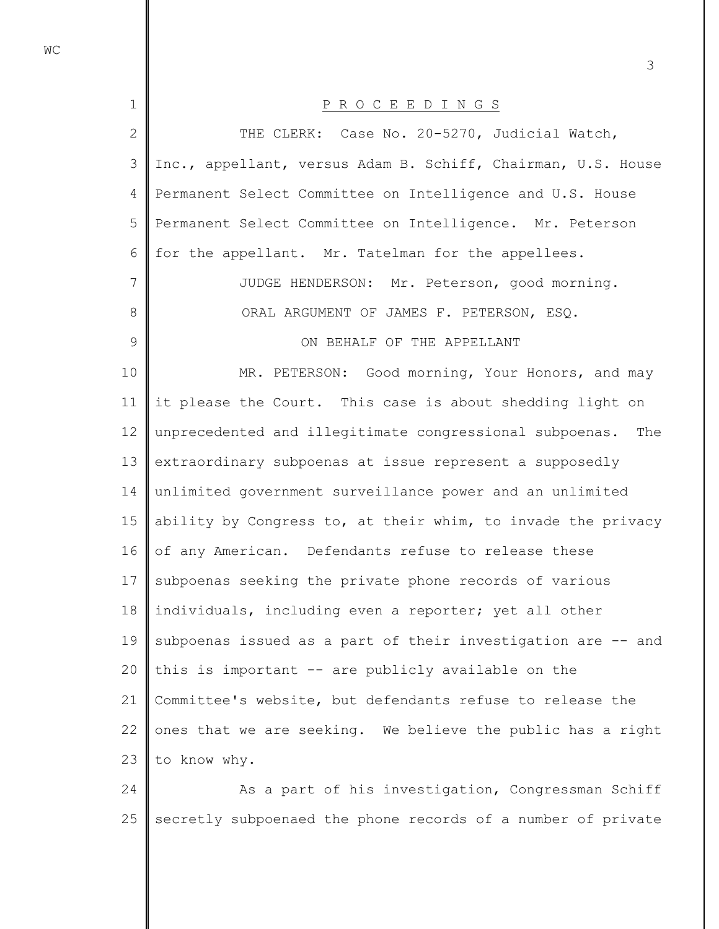| $\mathbf 1$   | P R O C E E D I N G S                                        |
|---------------|--------------------------------------------------------------|
| $\mathbf{2}$  | THE CLERK: Case No. 20-5270, Judicial Watch,                 |
| 3             | Inc., appellant, versus Adam B. Schiff, Chairman, U.S. House |
| 4             | Permanent Select Committee on Intelligence and U.S. House    |
| 5             | Permanent Select Committee on Intelligence. Mr. Peterson     |
| 6             | for the appellant. Mr. Tatelman for the appellees.           |
| 7             | JUDGE HENDERSON: Mr. Peterson, good morning.                 |
| $8\,$         | ORAL ARGUMENT OF JAMES F. PETERSON, ESQ.                     |
| $\mathcal{G}$ | ON BEHALF OF THE APPELLANT                                   |
| 10            | MR. PETERSON: Good morning, Your Honors, and may             |
| 11            | it please the Court. This case is about shedding light on    |
| 12            | unprecedented and illegitimate congressional subpoenas. The  |
| 13            | extraordinary subpoenas at issue represent a supposedly      |
| 14            | unlimited government surveillance power and an unlimited     |
| 15            | ability by Congress to, at their whim, to invade the privacy |
| 16            | of any American. Defendants refuse to release these          |
| 17            | subpoenas seeking the private phone records of various       |
| 18            | individuals, including even a reporter; yet all other        |
| 19            | subpoenas issued as a part of their investigation are -- and |
| 20            | this is important -- are publicly available on the           |
| 21            | Committee's website, but defendants refuse to release the    |
| 22            | ones that we are seeking. We believe the public has a right  |
| 23            | to know why.                                                 |
| 24            | As a part of his investigation, Congressman Schiff           |
|               |                                                              |

25 secretly subpoenaed the phone records of a number of private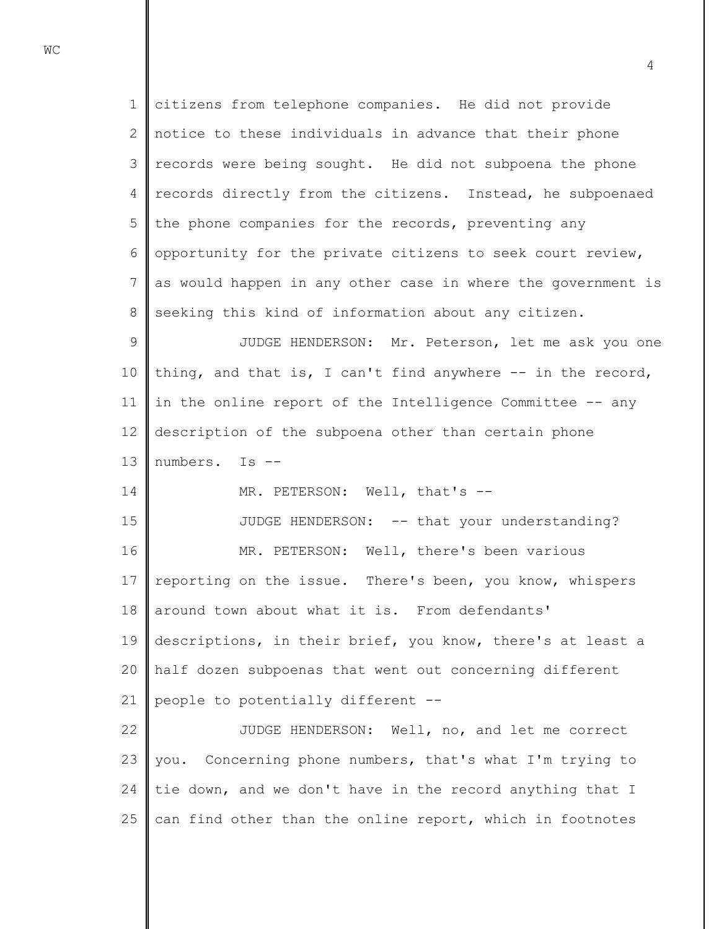1 2 3 4 5 6 7 8 9 10 11 12 13 14 15 16 17 18 19 20 citizens from telephone companies. He did not provide notice to these individuals in advance that their phone records were being sought. He did not subpoena the phone records directly from the citizens. Instead, he subpoenaed the phone companies for the records, preventing any opportunity for the private citizens to seek court review, as would happen in any other case in where the government is seeking this kind of information about any citizen. JUDGE HENDERSON: Mr. Peterson, let me ask you one thing, and that is, I can't find anywhere -- in the record, in the online report of the Intelligence Committee -- any description of the subpoena other than certain phone numbers. Is -- MR. PETERSON: Well, that's --JUDGE HENDERSON: -- that your understanding? MR. PETERSON: Well, there's been various reporting on the issue. There's been, you know, whispers around town about what it is. From defendants' descriptions, in their brief, you know, there's at least a half dozen subpoenas that went out concerning different

21 people to potentially different --

22 23 24 25 JUDGE HENDERSON: Well, no, and let me correct you. Concerning phone numbers, that's what I'm trying to tie down, and we don't have in the record anything that I can find other than the online report, which in footnotes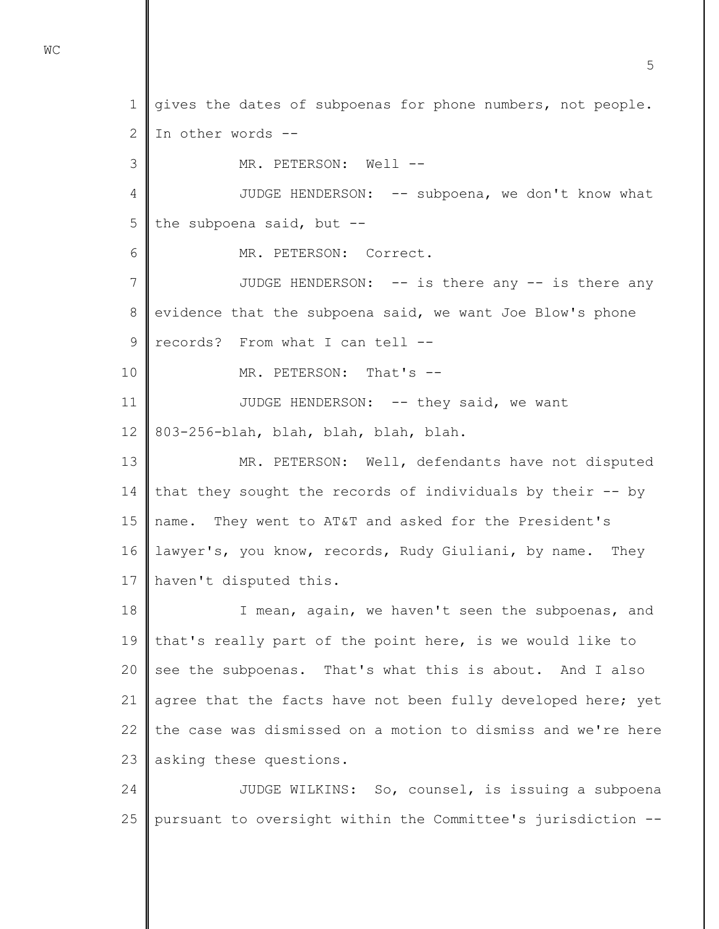1 2 3 4 5 6 7 8 9 10 11 12 13 14 15 16 17 18 19 20 21 22 23 24 gives the dates of subpoenas for phone numbers, not people. In other words -- MR. PETERSON: Well --JUDGE HENDERSON: -- subpoena, we don't know what the subpoena said, but -- MR. PETERSON: Correct. JUDGE HENDERSON: -- is there any -- is there any evidence that the subpoena said, we want Joe Blow's phone records? From what I can tell -- MR. PETERSON: That's --JUDGE HENDERSON: -- they said, we want 803-256-blah, blah, blah, blah, blah. MR. PETERSON: Well, defendants have not disputed that they sought the records of individuals by their -- by name. They went to AT&T and asked for the President's lawyer's, you know, records, Rudy Giuliani, by name. They haven't disputed this. I mean, again, we haven't seen the subpoenas, and that's really part of the point here, is we would like to see the subpoenas. That's what this is about. And I also agree that the facts have not been fully developed here; yet the case was dismissed on a motion to dismiss and we're here asking these questions. JUDGE WILKINS: So, counsel, is issuing a subpoena

25 pursuant to oversight within the Committee's jurisdiction --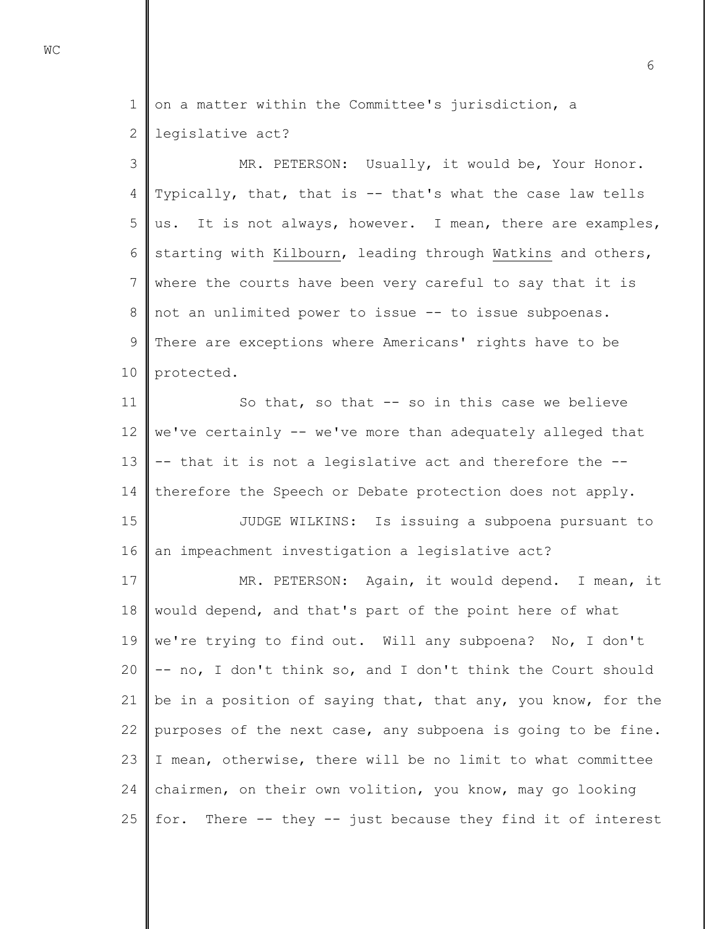1 2 on a matter within the Committee's jurisdiction, a legislative act?

3 4 5 6 7 8 9 10 MR. PETERSON: Usually, it would be, Your Honor. Typically, that, that is -- that's what the case law tells us. It is not always, however. I mean, there are examples, starting with Kilbourn, leading through Watkins and others, where the courts have been very careful to say that it is not an unlimited power to issue -- to issue subpoenas. There are exceptions where Americans' rights have to be protected.

11 12 13 14 So that, so that -- so in this case we believe we've certainly -- we've more than adequately alleged that -- that it is not a legislative act and therefore the - therefore the Speech or Debate protection does not apply.

15 16 JUDGE WILKINS: Is issuing a subpoena pursuant to an impeachment investigation a legislative act?

17 18 19 20 21 22 23 24 25 MR. PETERSON: Again, it would depend. I mean, it would depend, and that's part of the point here of what we're trying to find out. Will any subpoena? No, I don't -- no, I don't think so, and I don't think the Court should be in a position of saying that, that any, you know, for the purposes of the next case, any subpoena is going to be fine. I mean, otherwise, there will be no limit to what committee chairmen, on their own volition, you know, may go looking for. There -- they -- just because they find it of interest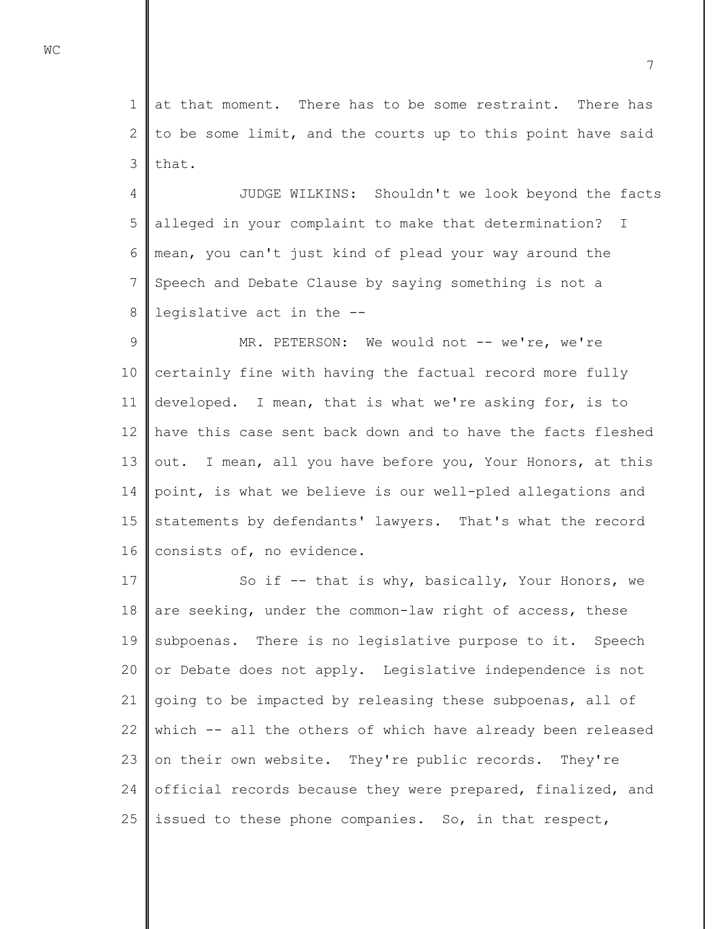1 2 3 at that moment. There has to be some restraint. There has to be some limit, and the courts up to this point have said that.

4 5 6 7 8 JUDGE WILKINS: Shouldn't we look beyond the facts alleged in your complaint to make that determination? I mean, you can't just kind of plead your way around the Speech and Debate Clause by saying something is not a legislative act in the --

9 10 11 12 13 14 15 16 MR. PETERSON: We would not -- we're, we're certainly fine with having the factual record more fully developed. I mean, that is what we're asking for, is to have this case sent back down and to have the facts fleshed out. I mean, all you have before you, Your Honors, at this point, is what we believe is our well-pled allegations and statements by defendants' lawyers. That's what the record consists of, no evidence.

17 18 19 20 21 22 23 24 25 So if -- that is why, basically, Your Honors, we are seeking, under the common-law right of access, these subpoenas. There is no legislative purpose to it. Speech or Debate does not apply. Legislative independence is not going to be impacted by releasing these subpoenas, all of which -- all the others of which have already been released on their own website. They're public records. They're official records because they were prepared, finalized, and issued to these phone companies. So, in that respect,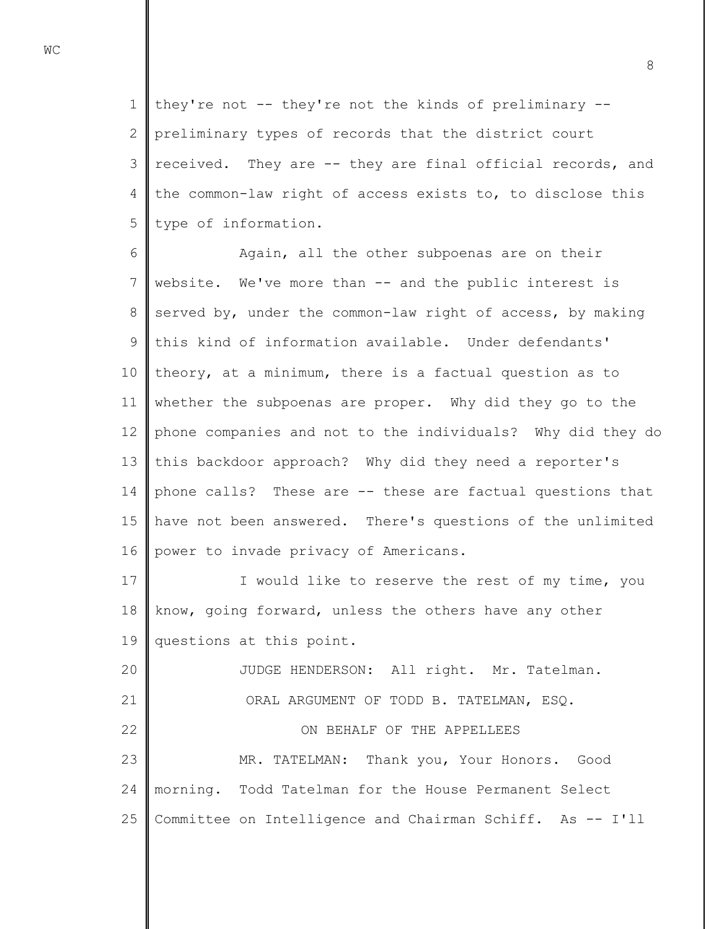1 2 3 4 5 they're not -- they're not the kinds of preliminary - preliminary types of records that the district court received. They are -- they are final official records, and the common-law right of access exists to, to disclose this type of information.

6 7 8 9 10 11 12 13 14 15 16 Again, all the other subpoenas are on their website. We've more than -- and the public interest is served by, under the common-law right of access, by making this kind of information available. Under defendants' theory, at a minimum, there is a factual question as to whether the subpoenas are proper. Why did they go to the phone companies and not to the individuals? Why did they do this backdoor approach? Why did they need a reporter's phone calls? These are -- these are factual questions that have not been answered. There's questions of the unlimited power to invade privacy of Americans.

17 18 19 I would like to reserve the rest of my time, you know, going forward, unless the others have any other questions at this point.

20 21 22 23 24 25 JUDGE HENDERSON: All right. Mr. Tatelman. ORAL ARGUMENT OF TODD B. TATELMAN, ESQ. ON BEHALF OF THE APPELLEES MR. TATELMAN: Thank you, Your Honors. Good morning. Todd Tatelman for the House Permanent Select Committee on Intelligence and Chairman Schiff. As -- I'll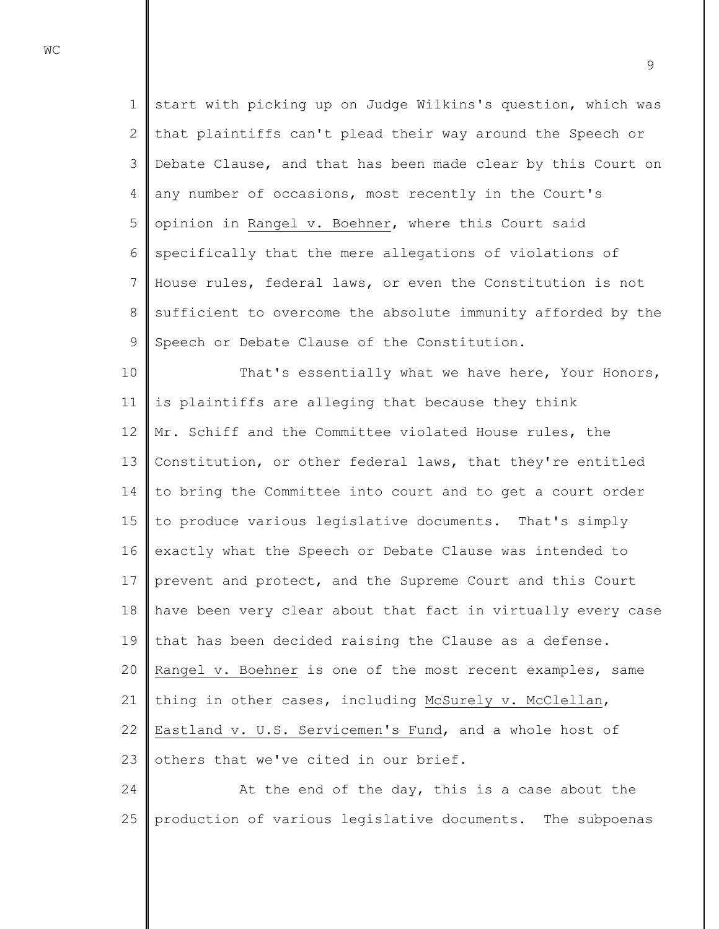1 2 3 4 5 6 7 8 9 start with picking up on Judge Wilkins's question, which was that plaintiffs can't plead their way around the Speech or Debate Clause, and that has been made clear by this Court on any number of occasions, most recently in the Court's opinion in Rangel v. Boehner, where this Court said specifically that the mere allegations of violations of House rules, federal laws, or even the Constitution is not sufficient to overcome the absolute immunity afforded by the Speech or Debate Clause of the Constitution.

10 11 12 13 14 15 16 17 18 19 20 21 22 23 That's essentially what we have here, Your Honors, is plaintiffs are alleging that because they think Mr. Schiff and the Committee violated House rules, the Constitution, or other federal laws, that they're entitled to bring the Committee into court and to get a court order to produce various legislative documents. That's simply exactly what the Speech or Debate Clause was intended to prevent and protect, and the Supreme Court and this Court have been very clear about that fact in virtually every case that has been decided raising the Clause as a defense. Rangel v. Boehner is one of the most recent examples, same thing in other cases, including McSurely v. McClellan, Eastland v. U.S. Servicemen's Fund, and a whole host of others that we've cited in our brief.

24 25 At the end of the day, this is a case about the production of various legislative documents. The subpoenas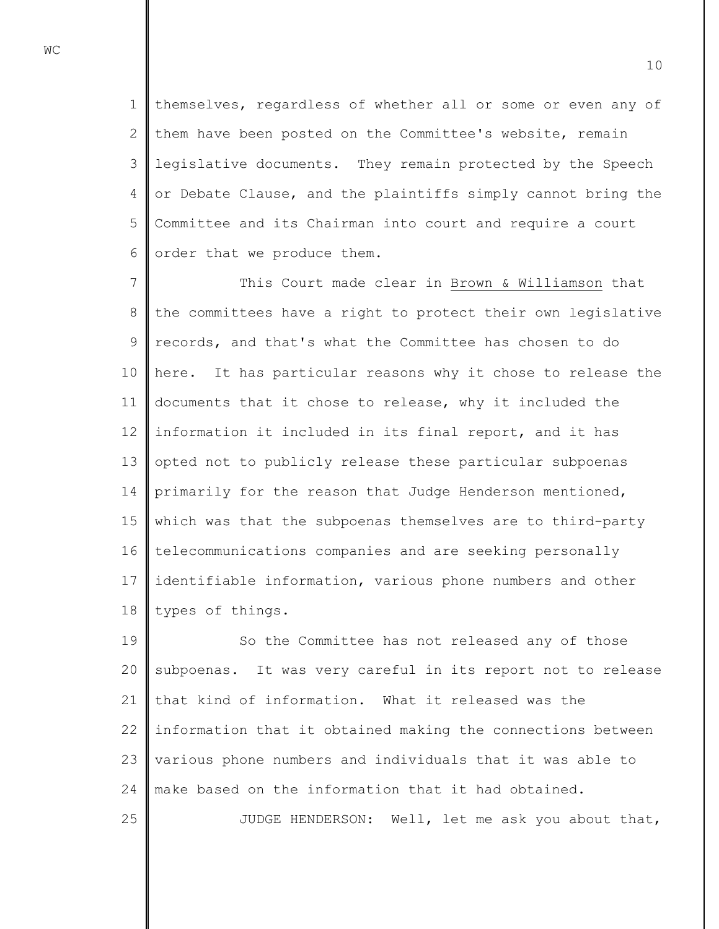1 2 3 4 5 6 themselves, regardless of whether all or some or even any of them have been posted on the Committee's website, remain legislative documents. They remain protected by the Speech or Debate Clause, and the plaintiffs simply cannot bring the Committee and its Chairman into court and require a court order that we produce them.

7 8 9 10 11 12 13 14 15 16 17 18 This Court made clear in Brown & Williamson that the committees have a right to protect their own legislative records, and that's what the Committee has chosen to do here. It has particular reasons why it chose to release the documents that it chose to release, why it included the information it included in its final report, and it has opted not to publicly release these particular subpoenas primarily for the reason that Judge Henderson mentioned, which was that the subpoenas themselves are to third-party telecommunications companies and are seeking personally identifiable information, various phone numbers and other types of things.

19 20 21 22 23 24 So the Committee has not released any of those subpoenas. It was very careful in its report not to release that kind of information. What it released was the information that it obtained making the connections between various phone numbers and individuals that it was able to make based on the information that it had obtained.

JUDGE HENDERSON: Well, let me ask you about that,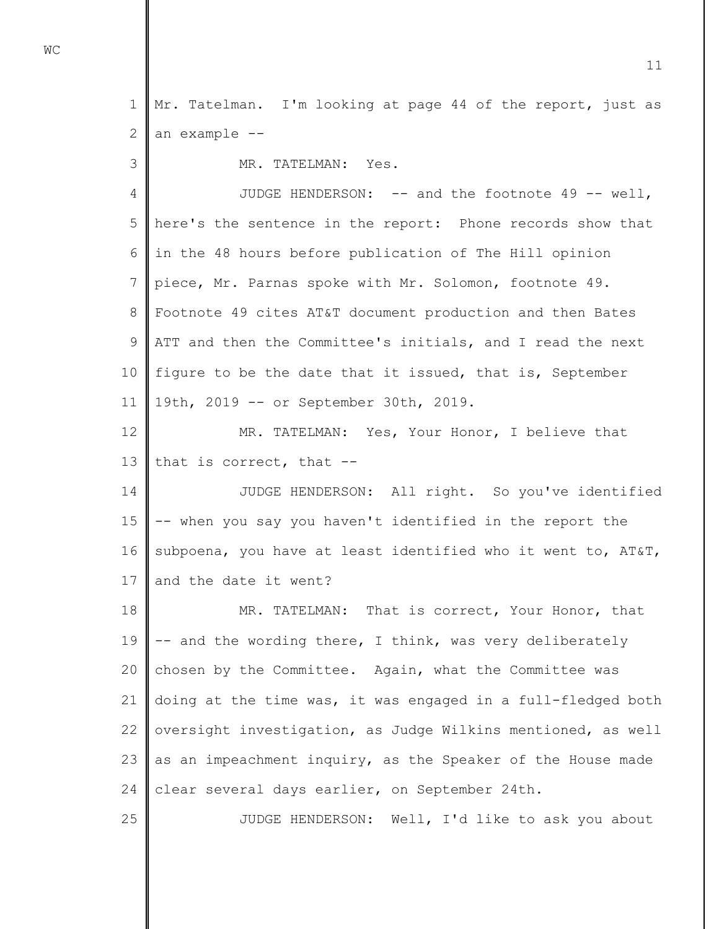1 2 Mr. Tatelman. I'm looking at page 44 of the report, just as an example --

MR. TATELMAN: Yes.

4 5 6 7 8 9 10 11 JUDGE HENDERSON: -- and the footnote 49 -- well, here's the sentence in the report: Phone records show that in the 48 hours before publication of The Hill opinion piece, Mr. Parnas spoke with Mr. Solomon, footnote 49. Footnote 49 cites AT&T document production and then Bates ATT and then the Committee's initials, and I read the next figure to be the date that it issued, that is, September 19th, 2019 -- or September 30th, 2019.

12 13 MR. TATELMAN: Yes, Your Honor, I believe that that is correct, that --

14 15 16 17 JUDGE HENDERSON: All right. So you've identified -- when you say you haven't identified in the report the subpoena, you have at least identified who it went to, AT&T, and the date it went?

18 19 20 21 22 23 24 MR. TATELMAN: That is correct, Your Honor, that -- and the wording there, I think, was very deliberately chosen by the Committee. Again, what the Committee was doing at the time was, it was engaged in a full-fledged both oversight investigation, as Judge Wilkins mentioned, as well as an impeachment inquiry, as the Speaker of the House made clear several days earlier, on September 24th.

JUDGE HENDERSON: Well, I'd like to ask you about

**WC** 

3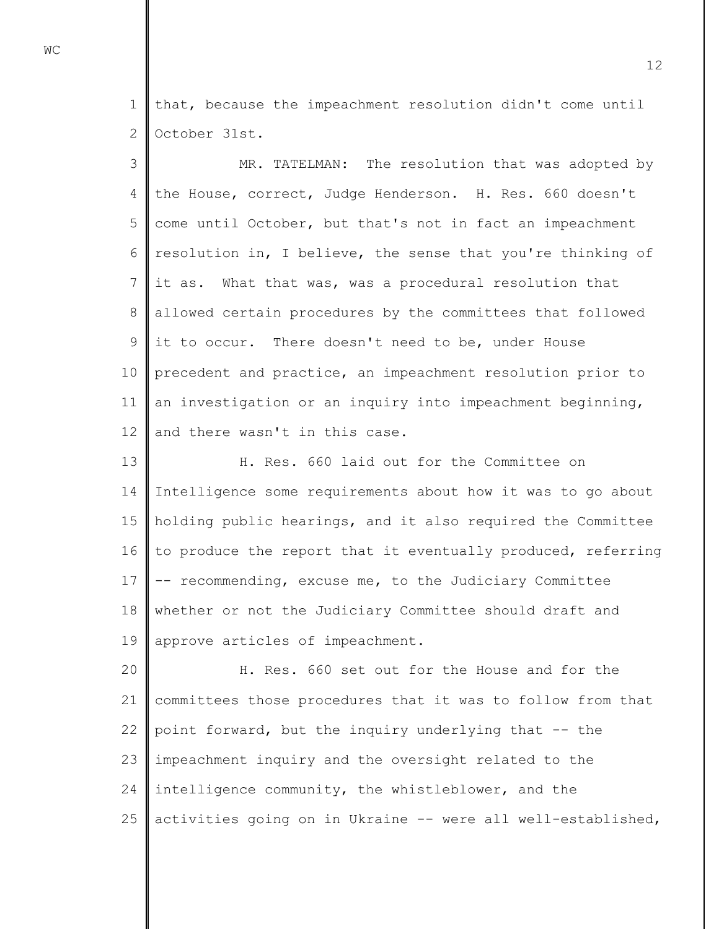1 2 that, because the impeachment resolution didn't come until October 31st.

3 4 5 6 7 8 9 10 11 12 MR. TATELMAN: The resolution that was adopted by the House, correct, Judge Henderson. H. Res. 660 doesn't come until October, but that's not in fact an impeachment resolution in, I believe, the sense that you're thinking of it as. What that was, was a procedural resolution that allowed certain procedures by the committees that followed it to occur. There doesn't need to be, under House precedent and practice, an impeachment resolution prior to an investigation or an inquiry into impeachment beginning, and there wasn't in this case.

13 14 15 16 17 18 19 H. Res. 660 laid out for the Committee on Intelligence some requirements about how it was to go about holding public hearings, and it also required the Committee to produce the report that it eventually produced, referring -- recommending, excuse me, to the Judiciary Committee whether or not the Judiciary Committee should draft and approve articles of impeachment.

20 21 22 23 24 25 H. Res. 660 set out for the House and for the committees those procedures that it was to follow from that point forward, but the inquiry underlying that -- the impeachment inquiry and the oversight related to the intelligence community, the whistleblower, and the activities going on in Ukraine -- were all well-established,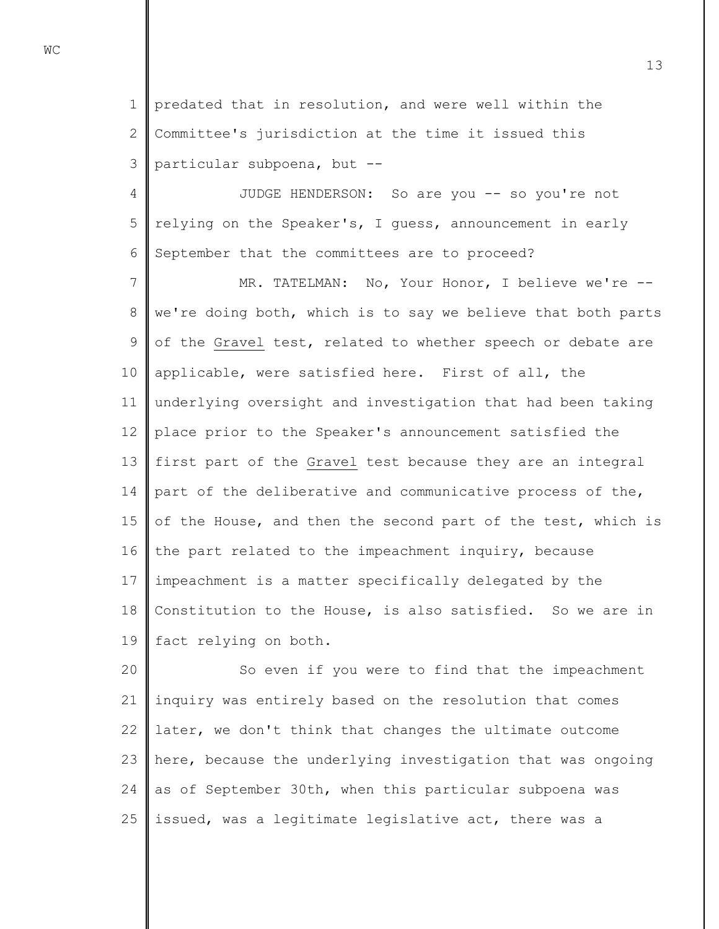1 2 3 predated that in resolution, and were well within the Committee's jurisdiction at the time it issued this particular subpoena, but --

4 5 6 JUDGE HENDERSON: So are you -- so you're not relying on the Speaker's, I guess, announcement in early September that the committees are to proceed?

7 8 9 10 11 12 13 14 15 16 17 18 19 MR. TATELMAN: No, Your Honor, I believe we're -we're doing both, which is to say we believe that both parts of the Gravel test, related to whether speech or debate are applicable, were satisfied here. First of all, the underlying oversight and investigation that had been taking place prior to the Speaker's announcement satisfied the first part of the Gravel test because they are an integral part of the deliberative and communicative process of the, of the House, and then the second part of the test, which is the part related to the impeachment inquiry, because impeachment is a matter specifically delegated by the Constitution to the House, is also satisfied. So we are in fact relying on both.

20 21 22 23 24 25 So even if you were to find that the impeachment inquiry was entirely based on the resolution that comes later, we don't think that changes the ultimate outcome here, because the underlying investigation that was ongoing as of September 30th, when this particular subpoena was issued, was a legitimate legislative act, there was a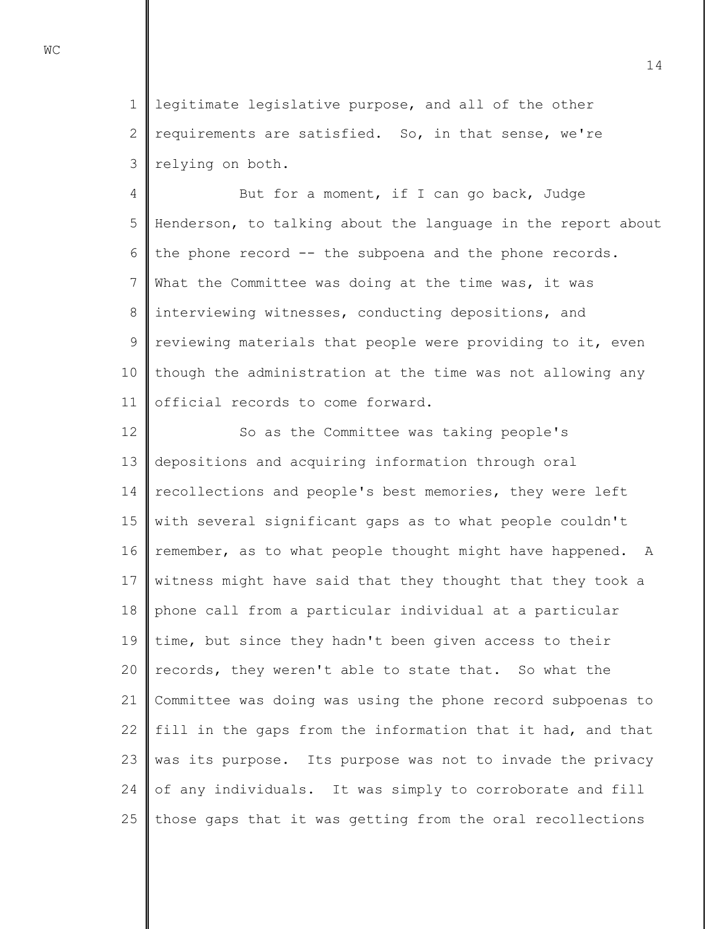1 2 3 legitimate legislative purpose, and all of the other requirements are satisfied. So, in that sense, we're relying on both.

4 5 6 7 8 9 10 11 But for a moment, if I can go back, Judge Henderson, to talking about the language in the report about the phone record -- the subpoena and the phone records. What the Committee was doing at the time was, it was interviewing witnesses, conducting depositions, and reviewing materials that people were providing to it, even though the administration at the time was not allowing any official records to come forward.

12 13 14 15 16 17 18 19 20 21 22 23 24 25 So as the Committee was taking people's depositions and acquiring information through oral recollections and people's best memories, they were left with several significant gaps as to what people couldn't remember, as to what people thought might have happened. A witness might have said that they thought that they took a phone call from a particular individual at a particular time, but since they hadn't been given access to their records, they weren't able to state that. So what the Committee was doing was using the phone record subpoenas to fill in the gaps from the information that it had, and that was its purpose. Its purpose was not to invade the privacy of any individuals. It was simply to corroborate and fill those gaps that it was getting from the oral recollections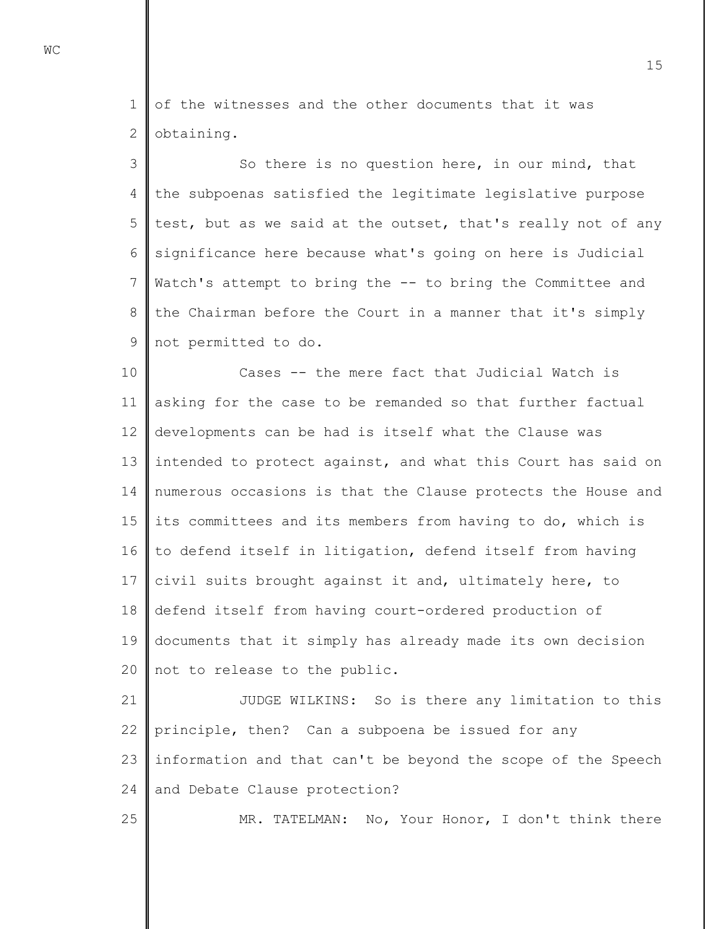1 2 of the witnesses and the other documents that it was obtaining.

3 4 5 6 7 8 9 So there is no question here, in our mind, that the subpoenas satisfied the legitimate legislative purpose test, but as we said at the outset, that's really not of any significance here because what's going on here is Judicial Watch's attempt to bring the -- to bring the Committee and the Chairman before the Court in a manner that it's simply not permitted to do.

10 11 12 13 14 15 16 17 18 19 20 Cases -- the mere fact that Judicial Watch is asking for the case to be remanded so that further factual developments can be had is itself what the Clause was intended to protect against, and what this Court has said on numerous occasions is that the Clause protects the House and its committees and its members from having to do, which is to defend itself in litigation, defend itself from having civil suits brought against it and, ultimately here, to defend itself from having court-ordered production of documents that it simply has already made its own decision not to release to the public.

21 22 23 24 JUDGE WILKINS: So is there any limitation to this principle, then? Can a subpoena be issued for any information and that can't be beyond the scope of the Speech and Debate Clause protection?

MR. TATELMAN: No, Your Honor, I don't think there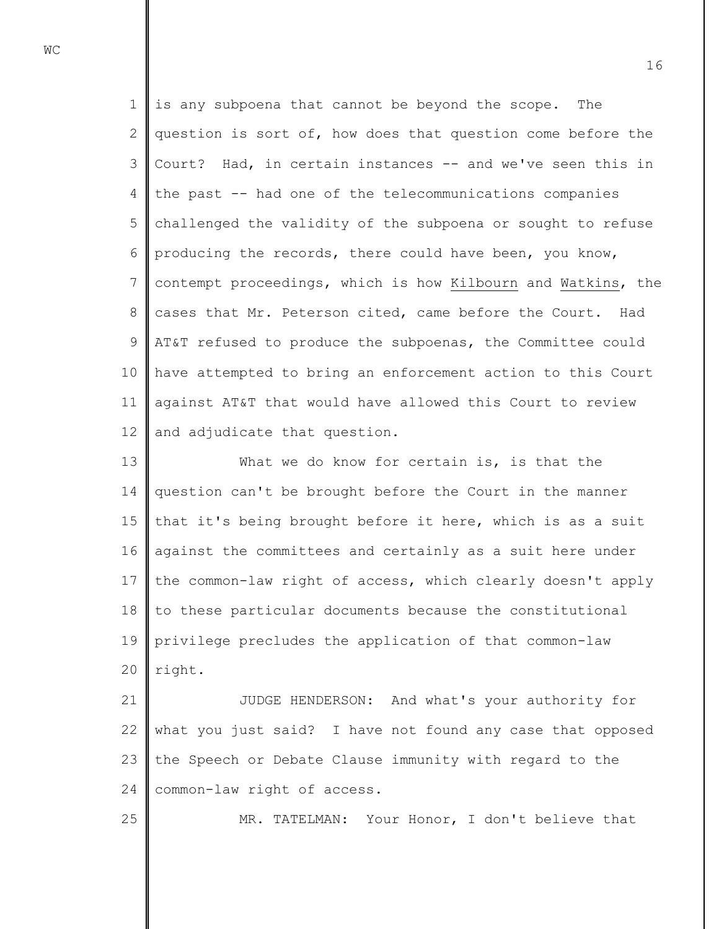1 2 3 4 5 6 7 8 9 10 11 12 is any subpoena that cannot be beyond the scope. The question is sort of, how does that question come before the Court? Had, in certain instances -- and we've seen this in the past -- had one of the telecommunications companies challenged the validity of the subpoena or sought to refuse producing the records, there could have been, you know, contempt proceedings, which is how Kilbourn and Watkins, the cases that Mr. Peterson cited, came before the Court. Had AT&T refused to produce the subpoenas, the Committee could have attempted to bring an enforcement action to this Court against AT&T that would have allowed this Court to review and adjudicate that question.

13 14 15 16 17 18 19 20 What we do know for certain is, is that the question can't be brought before the Court in the manner that it's being brought before it here, which is as a suit against the committees and certainly as a suit here under the common-law right of access, which clearly doesn't apply to these particular documents because the constitutional privilege precludes the application of that common-law right.

21 22 23 24 JUDGE HENDERSON: And what's your authority for what you just said? I have not found any case that opposed the Speech or Debate Clause immunity with regard to the common-law right of access.

MR. TATELMAN: Your Honor, I don't believe that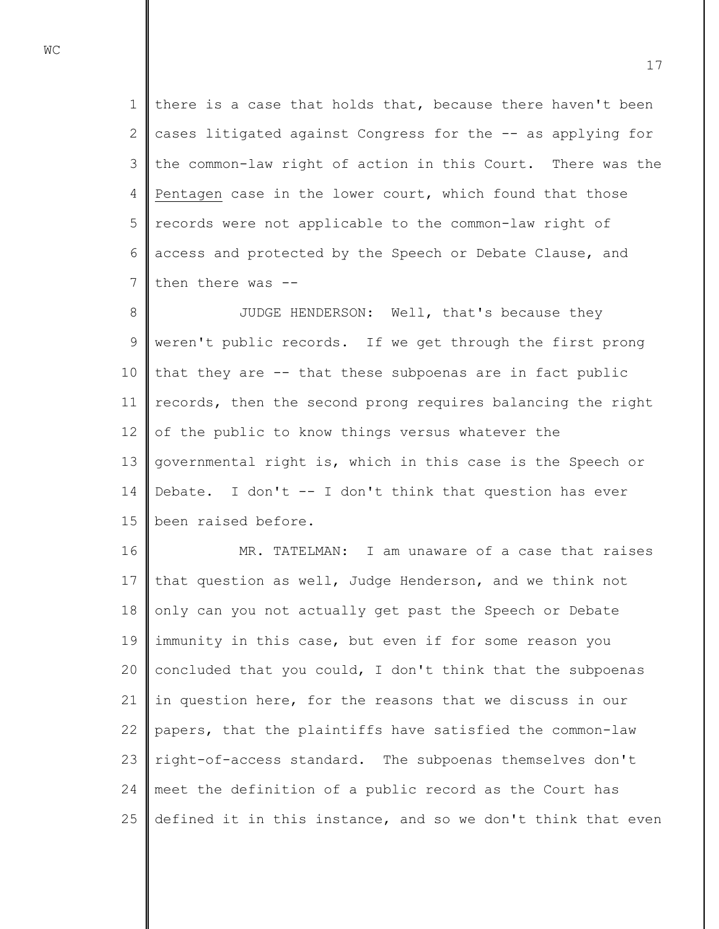1 2 3 4 5 6 7 there is a case that holds that, because there haven't been cases litigated against Congress for the -- as applying for the common-law right of action in this Court. There was the Pentagen case in the lower court, which found that those records were not applicable to the common-law right of access and protected by the Speech or Debate Clause, and then there was --

8 9 10 11 12 13 14 15 JUDGE HENDERSON: Well, that's because they weren't public records. If we get through the first prong that they are -- that these subpoenas are in fact public records, then the second prong requires balancing the right of the public to know things versus whatever the governmental right is, which in this case is the Speech or Debate. I don't -- I don't think that question has ever been raised before.

16 17 18 19 20 21 22 23 24 25 MR. TATELMAN: I am unaware of a case that raises that question as well, Judge Henderson, and we think not only can you not actually get past the Speech or Debate immunity in this case, but even if for some reason you concluded that you could, I don't think that the subpoenas in question here, for the reasons that we discuss in our papers, that the plaintiffs have satisfied the common-law right-of-access standard. The subpoenas themselves don't meet the definition of a public record as the Court has defined it in this instance, and so we don't think that even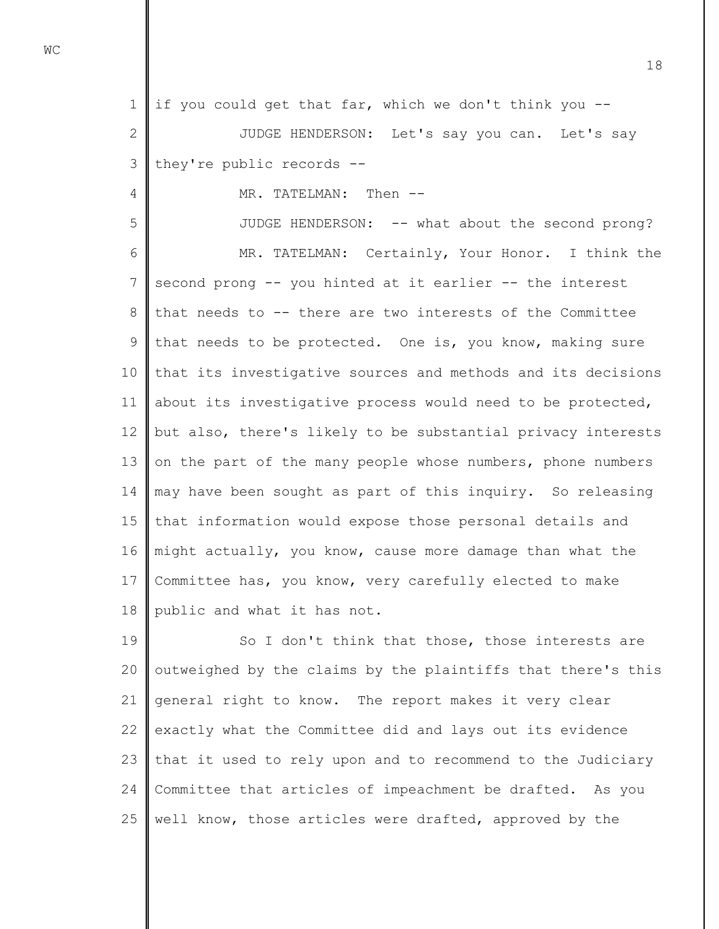1 if you could get that far, which we don't think you --

2 3 JUDGE HENDERSON: Let's say you can. Let's say they're public records --

MR. TATELMAN: Then --

5 6 7 8 9 10 11 12 13 14 15 16 17 18 JUDGE HENDERSON: -- what about the second prong? MR. TATELMAN: Certainly, Your Honor. I think the second prong -- you hinted at it earlier -- the interest that needs to -- there are two interests of the Committee that needs to be protected. One is, you know, making sure that its investigative sources and methods and its decisions about its investigative process would need to be protected, but also, there's likely to be substantial privacy interests on the part of the many people whose numbers, phone numbers may have been sought as part of this inquiry. So releasing that information would expose those personal details and might actually, you know, cause more damage than what the Committee has, you know, very carefully elected to make public and what it has not.

19 20 21 22 23 24 25 So I don't think that those, those interests are outweighed by the claims by the plaintiffs that there's this general right to know. The report makes it very clear exactly what the Committee did and lays out its evidence that it used to rely upon and to recommend to the Judiciary Committee that articles of impeachment be drafted. As you well know, those articles were drafted, approved by the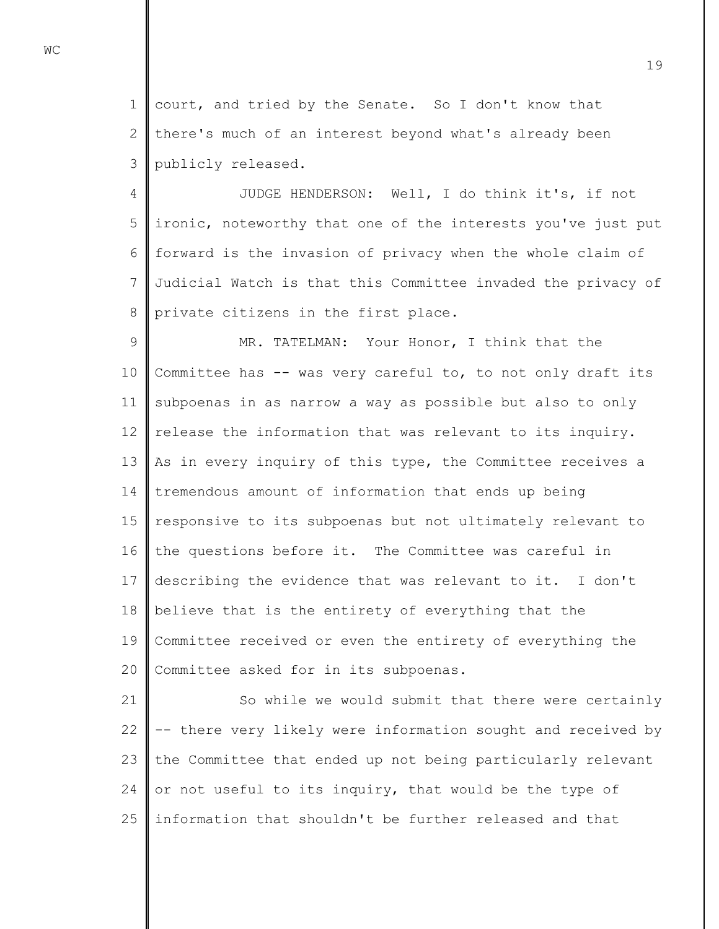1 2 3 court, and tried by the Senate. So I don't know that there's much of an interest beyond what's already been publicly released.

4 5 6 7 8 JUDGE HENDERSON: Well, I do think it's, if not ironic, noteworthy that one of the interests you've just put forward is the invasion of privacy when the whole claim of Judicial Watch is that this Committee invaded the privacy of private citizens in the first place.

9 10 11 12 13 14 15 16 17 18 19 20 MR. TATELMAN: Your Honor, I think that the Committee has -- was very careful to, to not only draft its subpoenas in as narrow a way as possible but also to only release the information that was relevant to its inquiry. As in every inquiry of this type, the Committee receives a tremendous amount of information that ends up being responsive to its subpoenas but not ultimately relevant to the questions before it. The Committee was careful in describing the evidence that was relevant to it. I don't believe that is the entirety of everything that the Committee received or even the entirety of everything the Committee asked for in its subpoenas.

21 22 23 24 25 So while we would submit that there were certainly -- there very likely were information sought and received by the Committee that ended up not being particularly relevant or not useful to its inquiry, that would be the type of information that shouldn't be further released and that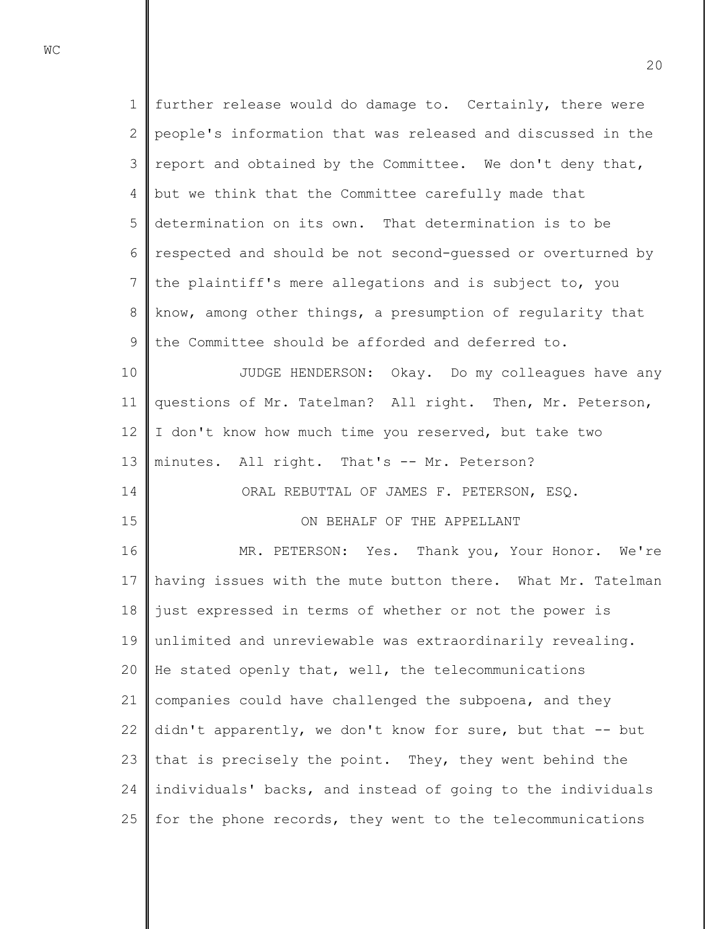1 2 3 4 5 6 7 8 9 10 11 12 13 14 15 16 17 18 19 20 21 22 23 24 25 further release would do damage to. Certainly, there were people's information that was released and discussed in the report and obtained by the Committee. We don't deny that, but we think that the Committee carefully made that determination on its own. That determination is to be respected and should be not second-guessed or overturned by the plaintiff's mere allegations and is subject to, you know, among other things, a presumption of regularity that the Committee should be afforded and deferred to. JUDGE HENDERSON: Okay. Do my colleagues have any questions of Mr. Tatelman? All right. Then, Mr. Peterson, I don't know how much time you reserved, but take two minutes. All right. That's -- Mr. Peterson? ORAL REBUTTAL OF JAMES F. PETERSON, ESQ. ON BEHALF OF THE APPELLANT MR. PETERSON: Yes. Thank you, Your Honor. We're having issues with the mute button there. What Mr. Tatelman just expressed in terms of whether or not the power is unlimited and unreviewable was extraordinarily revealing. He stated openly that, well, the telecommunications companies could have challenged the subpoena, and they didn't apparently, we don't know for sure, but that -- but that is precisely the point. They, they went behind the individuals' backs, and instead of going to the individuals for the phone records, they went to the telecommunications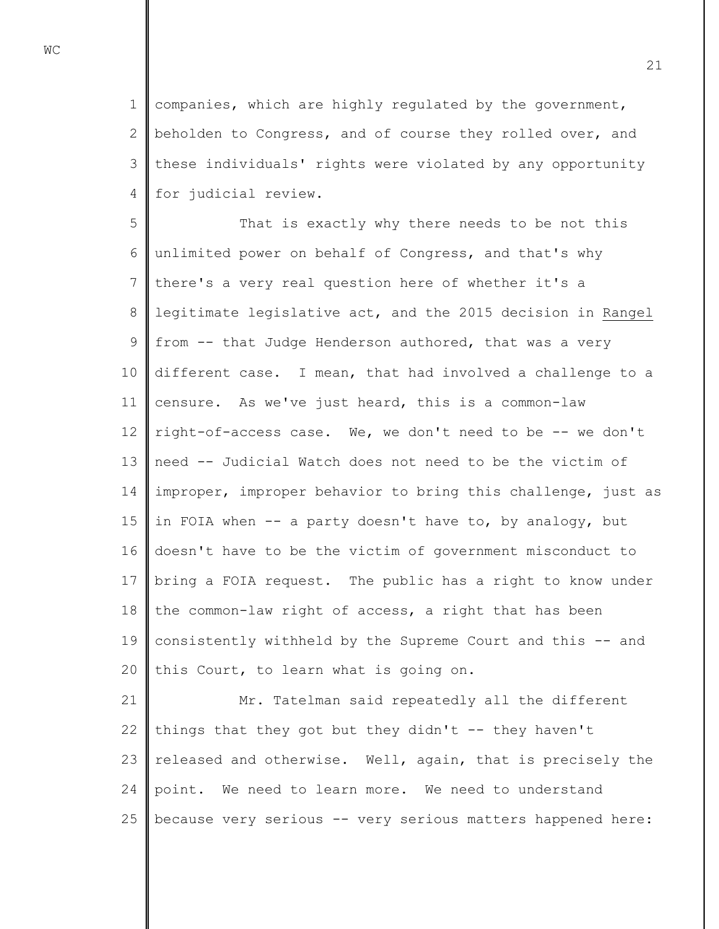1 2 3 4 companies, which are highly regulated by the government, beholden to Congress, and of course they rolled over, and these individuals' rights were violated by any opportunity for judicial review.

5 6 7 8 9 10 11 12 13 14 15 16 17 18 19 20 That is exactly why there needs to be not this unlimited power on behalf of Congress, and that's why there's a very real question here of whether it's a legitimate legislative act, and the 2015 decision in Rangel from -- that Judge Henderson authored, that was a very different case. I mean, that had involved a challenge to a censure. As we've just heard, this is a common-law right-of-access case. We, we don't need to be -- we don't need -- Judicial Watch does not need to be the victim of improper, improper behavior to bring this challenge, just as in FOIA when -- a party doesn't have to, by analogy, but doesn't have to be the victim of government misconduct to bring a FOIA request. The public has a right to know under the common-law right of access, a right that has been consistently withheld by the Supreme Court and this -- and this Court, to learn what is going on.

21 22 23 24 25 Mr. Tatelman said repeatedly all the different things that they got but they didn't  $-$ - they haven't released and otherwise. Well, again, that is precisely the point. We need to learn more. We need to understand because very serious -- very serious matters happened here: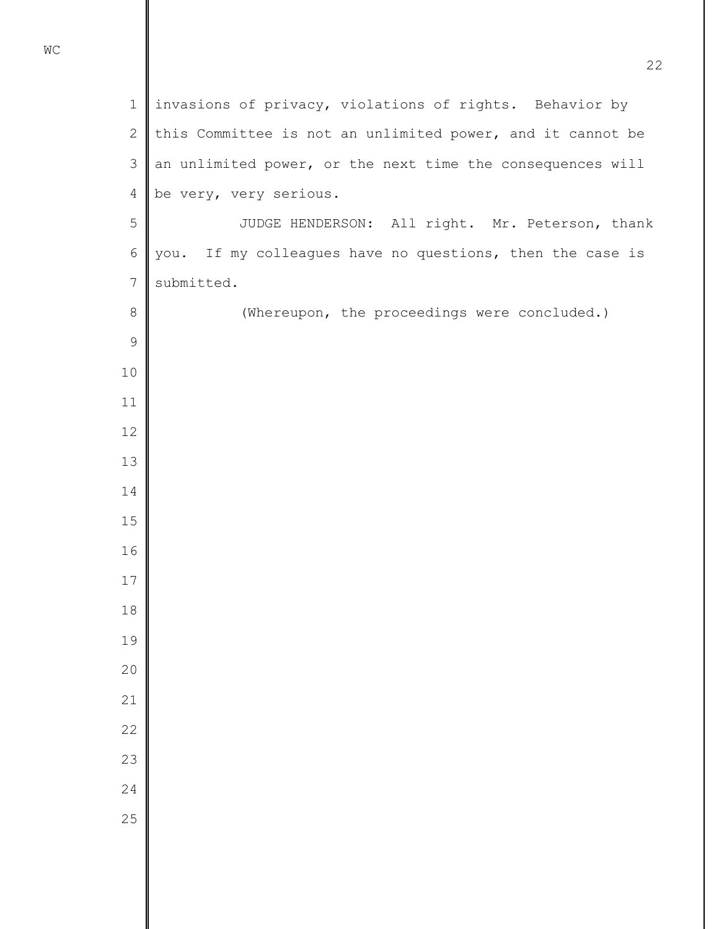invasions of privacy, violations of rights. Behavior by this Committee is not an unlimited power, and it cannot be an unlimited power, or the next time the consequences will be very, very serious. JUDGE HENDERSON: All right. Mr. Peterson, thank you. If my colleagues have no questions, then the case is submitted. (Whereupon, the proceedings were concluded.)